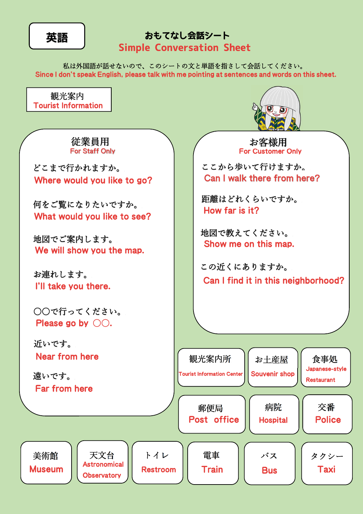英語

## おもてなし会話シート Simple Conversation Sheet

私は外国語が話せないので、このシートの文と単語を指さして会話してください。 Since I don't speak English, please talk with me pointing at sentences and words on this sheet.



従業員用

どこまで行かれますか。 Where would you like to go?

何をご覧になりたいですか。 What would you like to see?

地図でご案内します。 We will show you the map.

お連れします。 I'll take you there.

○○で行ってください。 Please go by ○○.

近いです。 Near from here

遠いです。 Far from here

美術館

**Museum** 



**For Customer Only** お客様用

ここから歩いて行けますか。 Can I walk there from here?

距離はどれくらいですか。 How far is it?

地図で教えてください。 Show me on this map.

この近くにありますか。 Can I find it in this neighborhood?